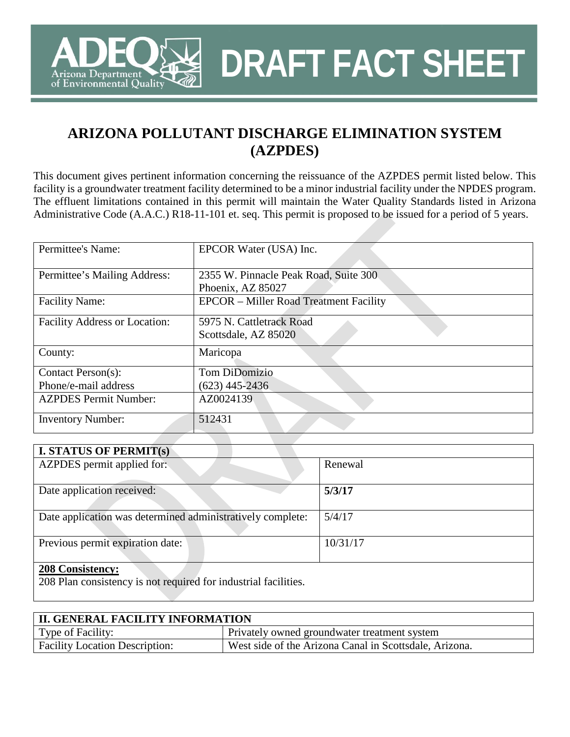

**DRAFT FACT SHEET**

This document gives pertinent information concerning the reissuance of the AZPDES permit listed below. This facility is a groundwater treatment facility determined to be a minor industrial facility under the NPDES program. The effluent limitations contained in this permit will maintain the Water Quality Standards listed in Arizona Administrative Code (A.A.C.) R18-11-101 et. seq. This permit is proposed to be issued for a period of 5 years.

| Permittee's Name:                    | EPCOR Water (USA) Inc.                        |  |  |  |
|--------------------------------------|-----------------------------------------------|--|--|--|
|                                      |                                               |  |  |  |
| Permittee's Mailing Address:         | 2355 W. Pinnacle Peak Road, Suite 300         |  |  |  |
|                                      | Phoenix, AZ 85027                             |  |  |  |
| <b>Facility Name:</b>                | <b>EPCOR</b> – Miller Road Treatment Facility |  |  |  |
|                                      |                                               |  |  |  |
| <b>Facility Address or Location:</b> | 5975 N. Cattletrack Road                      |  |  |  |
|                                      | Scottsdale, AZ 85020                          |  |  |  |
| County:                              | Maricopa                                      |  |  |  |
|                                      |                                               |  |  |  |
| Contact Person(s):                   | Tom DiDomizio                                 |  |  |  |
| Phone/e-mail address                 | $(623)$ 445-2436                              |  |  |  |
| <b>AZPDES Permit Number:</b>         | AZ0024139                                     |  |  |  |
|                                      |                                               |  |  |  |
| <b>Inventory Number:</b>             | 512431                                        |  |  |  |
|                                      |                                               |  |  |  |

| <b>I. STATUS OF PERMIT(s)</b>                              |          |
|------------------------------------------------------------|----------|
| AZPDES permit applied for:                                 | Renewal  |
| Date application received:                                 | 5/3/17   |
| Date application was determined administratively complete: | 5/4/17   |
| Previous permit expiration date:                           | 10/31/17 |
| $200$ Consistences                                         |          |

#### **208 Consistency:**

rizona Department of Environmental Quality

208 Plan consistency is not required for industrial facilities.

| <b>II. GENERAL FACILITY INFORMATION</b> |                                                        |  |  |  |
|-----------------------------------------|--------------------------------------------------------|--|--|--|
| Type of Facility:                       | Privately owned groundwater treatment system           |  |  |  |
| <b>Facility Location Description:</b>   | West side of the Arizona Canal in Scottsdale, Arizona. |  |  |  |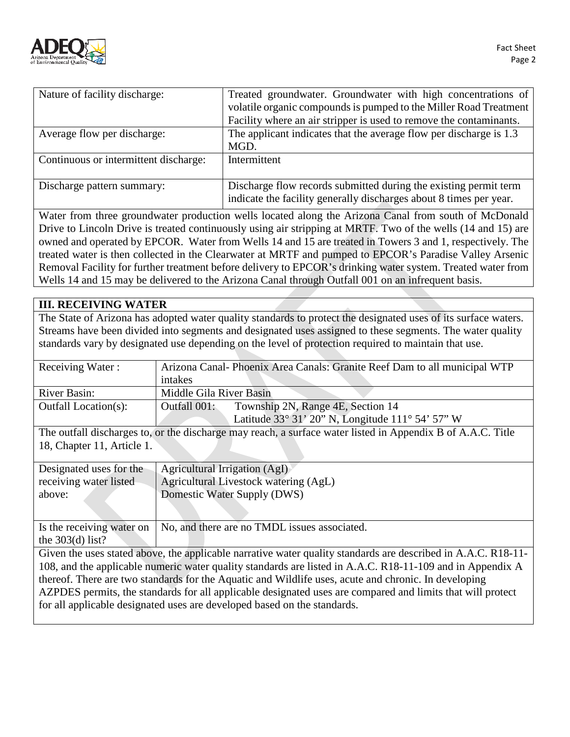

| Nature of facility discharge:         | Treated groundwater. Groundwater with high concentrations of                                                                           |
|---------------------------------------|----------------------------------------------------------------------------------------------------------------------------------------|
|                                       | volatile organic compounds is pumped to the Miller Road Treatment                                                                      |
|                                       | Facility where an air stripper is used to remove the contaminants.                                                                     |
| Average flow per discharge:           | The applicant indicates that the average flow per discharge is 1.3                                                                     |
|                                       | MGD.                                                                                                                                   |
| Continuous or intermittent discharge: | Intermittent                                                                                                                           |
|                                       |                                                                                                                                        |
| Discharge pattern summary:            | Discharge flow records submitted during the existing permit term<br>indicate the facility generally discharges about 8 times per year. |

Water from three groundwater production wells located along the Arizona Canal from south of McDonald Drive to Lincoln Drive is treated continuously using air stripping at MRTF. Two of the wells (14 and 15) are owned and operated by EPCOR. Water from Wells 14 and 15 are treated in Towers 3 and 1, respectively. The treated water is then collected in the Clearwater at MRTF and pumped to EPCOR's Paradise Valley Arsenic Removal Facility for further treatment before delivery to EPCOR's drinking water system. Treated water from Wells 14 and 15 may be delivered to the Arizona Canal through Outfall 001 on an infrequent basis.

### **III. RECEIVING WATER**

The State of Arizona has adopted water quality standards to protect the designated uses of its surface waters. Streams have been divided into segments and designated uses assigned to these segments. The water quality standards vary by designated use depending on the level of protection required to maintain that use.

| Receiving Water:            | Arizona Canal-Phoenix Area Canals: Granite Reef Dam to all municipal WTP |  |  |
|-----------------------------|--------------------------------------------------------------------------|--|--|
|                             | intakes                                                                  |  |  |
| River Basin:                | Middle Gila River Basin                                                  |  |  |
| <b>Outfall Location(s):</b> | Outfall 001:<br>Township 2N, Range 4E, Section 14                        |  |  |
|                             | Latitude $33^{\circ}$ 31' 20" N, Longitude 111° 54' 57" W                |  |  |

The outfall discharges to, or the discharge may reach, a surface water listed in Appendix B of A.A.C. Title 18, Chapter 11, Article 1.

| Designated uses for the                                                                                       | Agricultural Irrigation (AgI)                |  |  |  |
|---------------------------------------------------------------------------------------------------------------|----------------------------------------------|--|--|--|
| receiving water listed                                                                                        | Agricultural Livestock watering (AgL)        |  |  |  |
| above:                                                                                                        | Domestic Water Supply (DWS)                  |  |  |  |
|                                                                                                               |                                              |  |  |  |
| Is the receiving water on                                                                                     | No, and there are no TMDL issues associated. |  |  |  |
| the $303(d)$ list?                                                                                            |                                              |  |  |  |
| Given the uses stated above, the applicable narrative water quality standards are described in A.A.C. R18-11- |                                              |  |  |  |
| 108, and the applicable numeric water quality standards are listed in A.A.C. R18-11-109 and in Appendix A     |                                              |  |  |  |
| thereof. There are two standards for the Aquatic and Wildlife uses, acute and chronic. In developing          |                                              |  |  |  |
| AZPDES permits, the standards for all applicable designated uses are compared and limits that will protect    |                                              |  |  |  |
| for all applicable designated uses are developed based on the standards.                                      |                                              |  |  |  |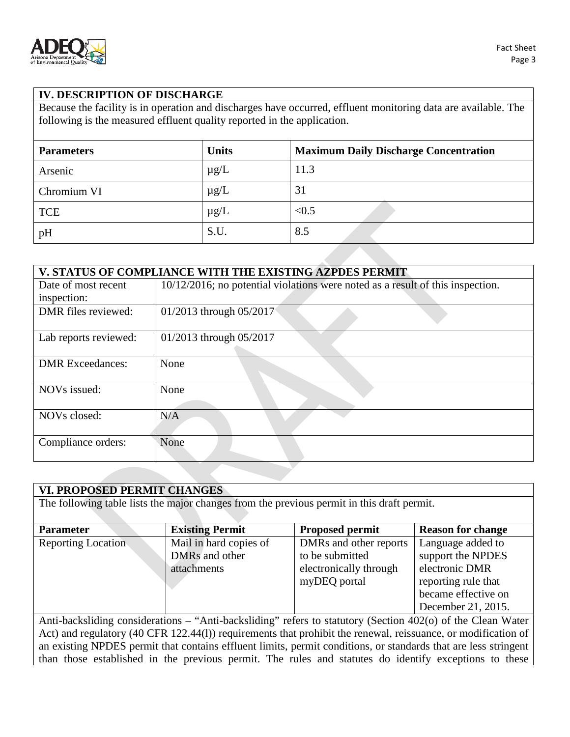

## **IV. DESCRIPTION OF DISCHARGE**

Because the facility is in operation and discharges have occurred, effluent monitoring data are available. The following is the measured effluent quality reported in the application.

| <b>Parameters</b> | <b>Units</b> | <b>Maximum Daily Discharge Concentration</b> |
|-------------------|--------------|----------------------------------------------|
| Arsenic           | $\mu$ g/L    | 11.3                                         |
| Chromium VI       | $\mu$ g/L    | 31                                           |
| <b>TCE</b>        | $\mu$ g/L    | < 0.5                                        |
| pH                | S.U.         | 8.5                                          |

| V. STATUS OF COMPLIANCE WITH THE EXISTING AZPDES PERMIT |                                                                                   |  |  |  |
|---------------------------------------------------------|-----------------------------------------------------------------------------------|--|--|--|
| Date of most recent                                     | $10/12/2016$ ; no potential violations were noted as a result of this inspection. |  |  |  |
| inspection:                                             |                                                                                   |  |  |  |
| DMR files reviewed:                                     | 01/2013 through 05/2017                                                           |  |  |  |
| Lab reports reviewed:                                   | 01/2013 through 05/2017                                                           |  |  |  |
| <b>DMR</b> Exceedances:                                 | None                                                                              |  |  |  |
| NOVs issued:                                            | None                                                                              |  |  |  |
| NOV <sub>s</sub> closed:                                | N/A                                                                               |  |  |  |
| Compliance orders:                                      | None                                                                              |  |  |  |

| VI. PROPOSED PERMIT CHANGES                                                                |                        |                        |                          |  |  |
|--------------------------------------------------------------------------------------------|------------------------|------------------------|--------------------------|--|--|
| The following table lists the major changes from the previous permit in this draft permit. |                        |                        |                          |  |  |
|                                                                                            |                        |                        |                          |  |  |
| <b>Parameter</b>                                                                           | <b>Existing Permit</b> | <b>Proposed permit</b> | <b>Reason for change</b> |  |  |
| <b>Reporting Location</b>                                                                  | Mail in hard copies of | DMRs and other reports | Language added to        |  |  |
|                                                                                            | DMRs and other         | to be submitted        | support the NPDES        |  |  |
|                                                                                            | attachments            | electronically through | electronic DMR           |  |  |
|                                                                                            |                        | myDEQ portal           | reporting rule that      |  |  |
|                                                                                            |                        |                        | became effective on      |  |  |
|                                                                                            |                        |                        | December 21, 2015.       |  |  |

Anti-backsliding considerations – "Anti-backsliding" refers to statutory (Section 402(o) of the Clean Water Act) and regulatory (40 CFR 122.44(l)) requirements that prohibit the renewal, reissuance, or modification of an existing NPDES permit that contains effluent limits, permit conditions, or standards that are less stringent than those established in the previous permit. The rules and statutes do identify exceptions to these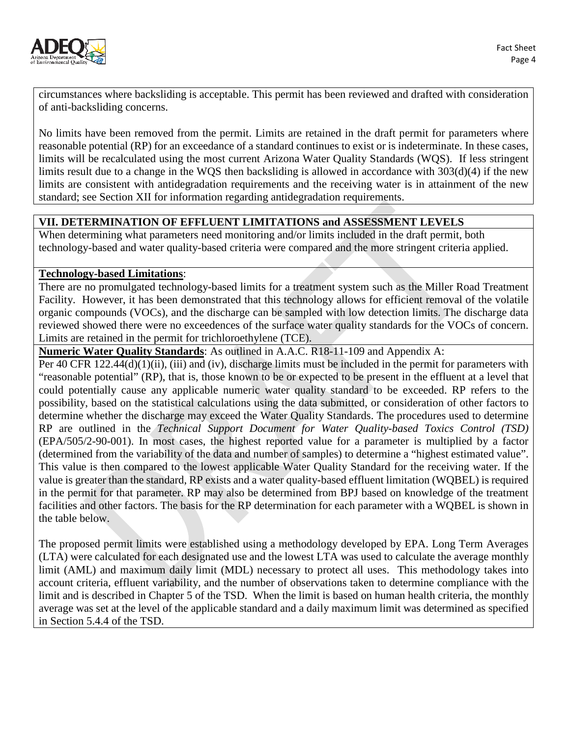

circumstances where backsliding is acceptable. This permit has been reviewed and drafted with consideration of anti-backsliding concerns.

No limits have been removed from the permit. Limits are retained in the draft permit for parameters where reasonable potential (RP) for an exceedance of a standard continues to exist or is indeterminate. In these cases, limits will be recalculated using the most current Arizona Water Quality Standards (WQS). If less stringent limits result due to a change in the WQS then backsliding is allowed in accordance with 303(d)(4) if the new limits are consistent with antidegradation requirements and the receiving water is in attainment of the new standard; see Section XII for information regarding antidegradation requirements.

# **VII. DETERMINATION OF EFFLUENT LIMITATIONS and ASSESSMENT LEVELS**

When determining what parameters need monitoring and/or limits included in the draft permit, both technology-based and water quality-based criteria were compared and the more stringent criteria applied.

### **Technology-based Limitations**:

There are no promulgated technology-based limits for a treatment system such as the Miller Road Treatment Facility. However, it has been demonstrated that this technology allows for efficient removal of the volatile organic compounds (VOCs), and the discharge can be sampled with low detection limits. The discharge data reviewed showed there were no exceedences of the surface water quality standards for the VOCs of concern. Limits are retained in the permit for trichloroethylene (TCE).

**Numeric Water Quality Standards**: As outlined in A.A.C. R18-11-109 and Appendix A:

Per 40 CFR 122.44(d)(1)(ii), (iii) and (iv), discharge limits must be included in the permit for parameters with "reasonable potential" (RP), that is, those known to be or expected to be present in the effluent at a level that could potentially cause any applicable numeric water quality standard to be exceeded. RP refers to the possibility, based on the statistical calculations using the data submitted, or consideration of other factors to determine whether the discharge may exceed the Water Quality Standards. The procedures used to determine RP are outlined in the *Technical Support Document for Water Quality-based Toxics Control (TSD)* (EPA/505/2-90-001). In most cases, the highest reported value for a parameter is multiplied by a factor (determined from the variability of the data and number of samples) to determine a "highest estimated value". This value is then compared to the lowest applicable Water Quality Standard for the receiving water. If the value is greater than the standard, RP exists and a water quality-based effluent limitation (WQBEL) is required in the permit for that parameter. RP may also be determined from BPJ based on knowledge of the treatment facilities and other factors. The basis for the RP determination for each parameter with a WQBEL is shown in the table below.

The proposed permit limits were established using a methodology developed by EPA. Long Term Averages (LTA) were calculated for each designated use and the lowest LTA was used to calculate the average monthly limit (AML) and maximum daily limit (MDL) necessary to protect all uses. This methodology takes into account criteria, effluent variability, and the number of observations taken to determine compliance with the limit and is described in Chapter 5 of the TSD. When the limit is based on human health criteria, the monthly average was set at the level of the applicable standard and a daily maximum limit was determined as specified in Section 5.4.4 of the TSD.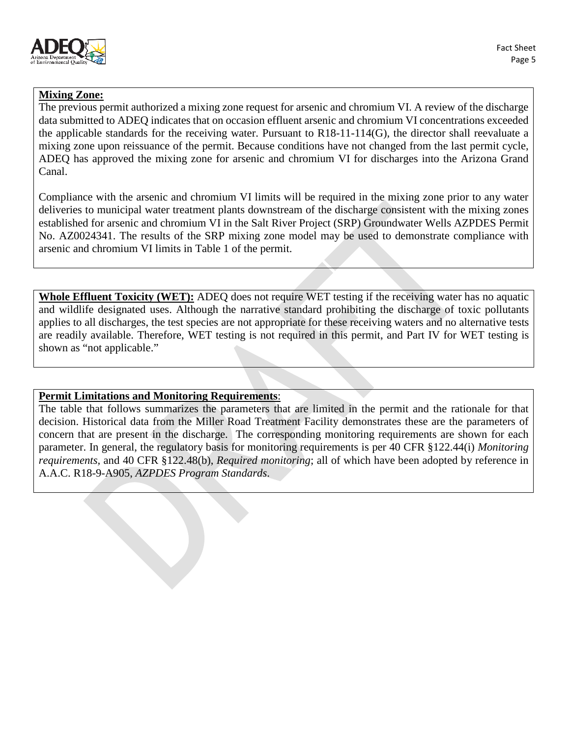

# **Mixing Zone:**

The previous permit authorized a mixing zone request for arsenic and chromium VI. A review of the discharge data submitted to ADEQ indicates that on occasion effluent arsenic and chromium VI concentrations exceeded the applicable standards for the receiving water. Pursuant to R18-11-114(G), the director shall reevaluate a mixing zone upon reissuance of the permit. Because conditions have not changed from the last permit cycle, ADEQ has approved the mixing zone for arsenic and chromium VI for discharges into the Arizona Grand Canal.

Compliance with the arsenic and chromium VI limits will be required in the mixing zone prior to any water deliveries to municipal water treatment plants downstream of the discharge consistent with the mixing zones established for arsenic and chromium VI in the Salt River Project (SRP) Groundwater Wells AZPDES Permit No. AZ0024341. The results of the SRP mixing zone model may be used to demonstrate compliance with arsenic and chromium VI limits in Table 1 of the permit.

**Whole Effluent Toxicity (WET):** ADEQ does not require WET testing if the receiving water has no aquatic and wildlife designated uses. Although the narrative standard prohibiting the discharge of toxic pollutants applies to all discharges, the test species are not appropriate for these receiving waters and no alternative tests are readily available. Therefore, WET testing is not required in this permit, and Part IV for WET testing is shown as "not applicable."

## **Permit Limitations and Monitoring Requirements**:

The table that follows summarizes the parameters that are limited in the permit and the rationale for that decision. Historical data from the Miller Road Treatment Facility demonstrates these are the parameters of concern that are present in the discharge. The corresponding monitoring requirements are shown for each parameter. In general, the regulatory basis for monitoring requirements is per 40 CFR §122.44(i) *Monitoring requirements,* and 40 CFR §122.48(b), *Required monitoring*; all of which have been adopted by reference in A.A.C. R18-9-A905, *AZPDES Program Standards*.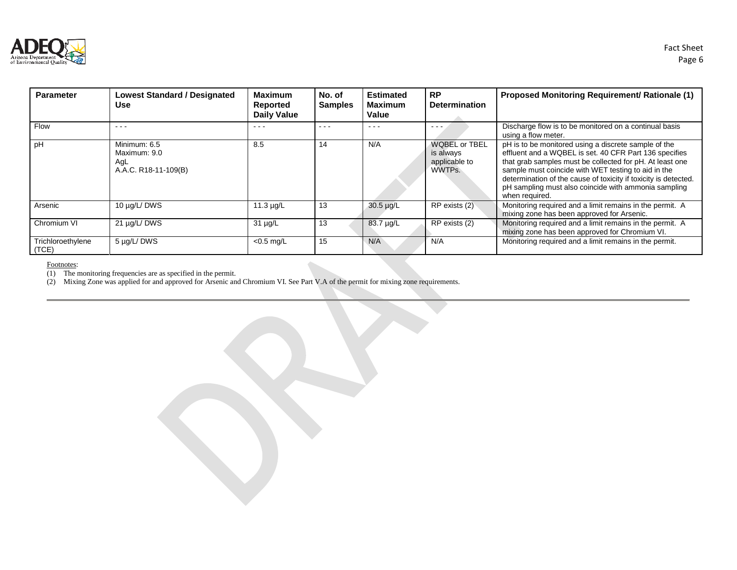

| <b>Parameter</b>           | <b>Lowest Standard / Designated</b><br>Use                                                     | <b>Maximum</b><br>Reported<br><b>Daily Value</b> | No. of<br><b>Samples</b> | <b>Estimated</b><br><b>Maximum</b><br>Value                                                    | <b>RP</b><br><b>Determination</b>                            | <b>Proposed Monitoring Requirement/ Rationale (1)</b>                                                                                                                                                                                                                                                                                                                          |
|----------------------------|------------------------------------------------------------------------------------------------|--------------------------------------------------|--------------------------|------------------------------------------------------------------------------------------------|--------------------------------------------------------------|--------------------------------------------------------------------------------------------------------------------------------------------------------------------------------------------------------------------------------------------------------------------------------------------------------------------------------------------------------------------------------|
| Flow                       | $\frac{1}{2} \left( \frac{1}{2} \right) \left( \frac{1}{2} \right) \left( \frac{1}{2} \right)$ | $  -$                                            | ---                      | $\frac{1}{2} \left( \frac{1}{2} \right) \left( \frac{1}{2} \right) \left( \frac{1}{2} \right)$ |                                                              | Discharge flow is to be monitored on a continual basis<br>using a flow meter.                                                                                                                                                                                                                                                                                                  |
| рH                         | Minimum: 6.5<br>Maximum: 9.0<br>AgL<br>A.A.C. R18-11-109(B)                                    | 8.5                                              | 14                       | N/A                                                                                            | <b>WQBEL or TBEL</b><br>is always<br>applicable to<br>WWTPs. | pH is to be monitored using a discrete sample of the<br>effluent and a WQBEL is set. 40 CFR Part 136 specifies<br>that grab samples must be collected for pH. At least one<br>sample must coincide with WET testing to aid in the<br>determination of the cause of toxicity if toxicity is detected.<br>pH sampling must also coincide with ammonia sampling<br>when required. |
| Arsenic                    | 10 µg/L/DWS                                                                                    | 11.3 $\mu$ g/L                                   | 13                       | $30.5 \mu g/L$                                                                                 | RP exists (2)                                                | Monitoring required and a limit remains in the permit. A<br>mixing zone has been approved for Arsenic.                                                                                                                                                                                                                                                                         |
| Chromium VI                | 21 µg/L/DWS                                                                                    | $31 \mu g/L$                                     | 13                       | 83.7 µg/L                                                                                      | RP exists (2)                                                | Monitoring required and a limit remains in the permit. A<br>mixing zone has been approved for Chromium VI.                                                                                                                                                                                                                                                                     |
| Trichloroethylene<br>(TCE) | 5 µg/L/DWS                                                                                     | $<$ 0.5 mg/L                                     | 15                       | N/A                                                                                            | N/A                                                          | Monitoring required and a limit remains in the permit.                                                                                                                                                                                                                                                                                                                         |

Footnotes:

(1) The monitoring frequencies are as specified in the permit.

(2) Mixing Zone was applied for and approved for Arsenic and Chromium VI. See Part V.A of the permit for mixing zone requirements.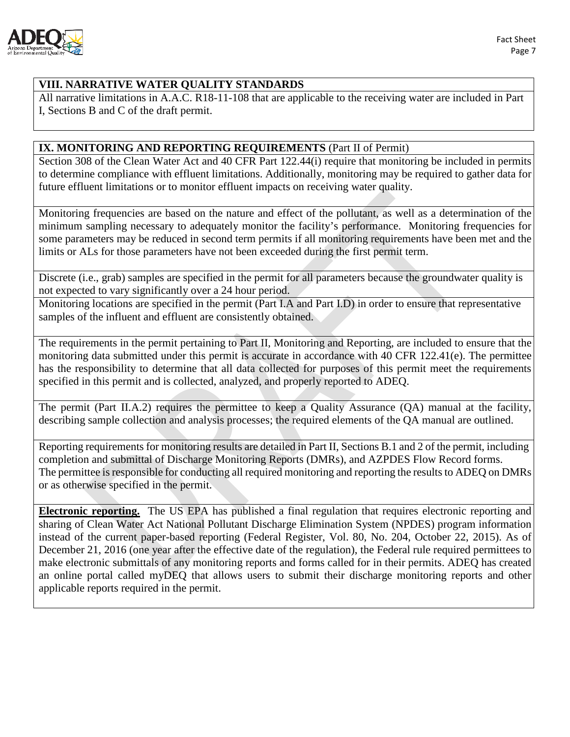

### **VIII. NARRATIVE WATER QUALITY STANDARDS**

All narrative limitations in A.A.C. R18-11-108 that are applicable to the receiving water are included in Part I, Sections B and C of the draft permit.

### **IX. MONITORING AND REPORTING REQUIREMENTS** (Part II of Permit)

Section 308 of the Clean Water Act and 40 CFR Part 122.44(i) require that monitoring be included in permits to determine compliance with effluent limitations. Additionally, monitoring may be required to gather data for future effluent limitations or to monitor effluent impacts on receiving water quality.

Monitoring frequencies are based on the nature and effect of the pollutant, as well as a determination of the minimum sampling necessary to adequately monitor the facility's performance. Monitoring frequencies for some parameters may be reduced in second term permits if all monitoring requirements have been met and the limits or ALs for those parameters have not been exceeded during the first permit term.

Discrete (i.e., grab) samples are specified in the permit for all parameters because the groundwater quality is not expected to vary significantly over a 24 hour period.

Monitoring locations are specified in the permit (Part I.A and Part I.D) in order to ensure that representative samples of the influent and effluent are consistently obtained.

The requirements in the permit pertaining to Part II, Monitoring and Reporting, are included to ensure that the monitoring data submitted under this permit is accurate in accordance with 40 CFR 122.41(e). The permittee has the responsibility to determine that all data collected for purposes of this permit meet the requirements specified in this permit and is collected, analyzed, and properly reported to ADEQ.

The permit (Part II.A.2) requires the permittee to keep a Quality Assurance (QA) manual at the facility, describing sample collection and analysis processes; the required elements of the QA manual are outlined.

Reporting requirements for monitoring results are detailed in Part II, Sections B.1 and 2 of the permit, including completion and submittal of Discharge Monitoring Reports (DMRs), and AZPDES Flow Record forms. The permittee is responsible for conducting all required monitoring and reporting the results to ADEQ on DMRs or as otherwise specified in the permit.

**Electronic reporting.** The US EPA has published a final regulation that requires electronic reporting and sharing of Clean Water Act National Pollutant Discharge Elimination System (NPDES) program information instead of the current paper-based reporting (Federal Register, Vol. 80, No. 204, October 22, 2015). As of December 21, 2016 (one year after the effective date of the regulation), the Federal rule required permittees to make electronic submittals of any monitoring reports and forms called for in their permits. ADEQ has created an online portal called myDEQ that allows users to submit their discharge monitoring reports and other applicable reports required in the permit.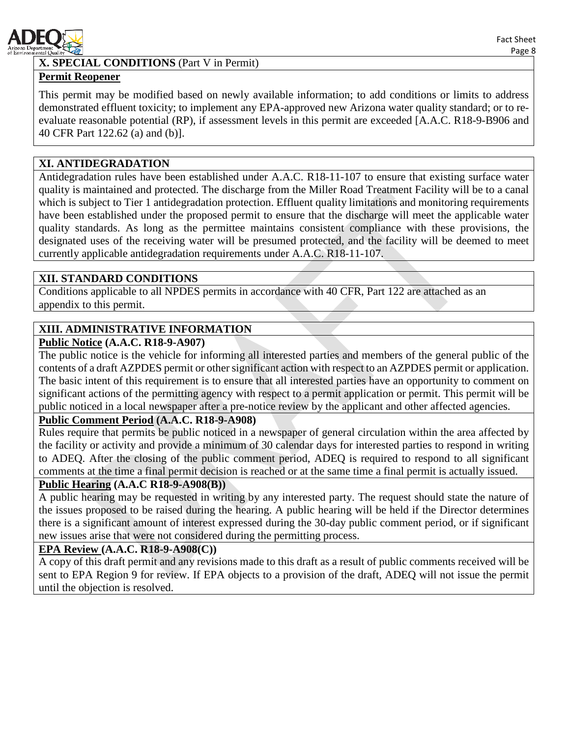

# **X. SPECIAL CONDITIONS** (Part V in Permit)

### **Permit Reopener**

This permit may be modified based on newly available information; to add conditions or limits to address demonstrated effluent toxicity; to implement any EPA-approved new Arizona water quality standard; or to reevaluate reasonable potential (RP), if assessment levels in this permit are exceeded [A.A.C. R18-9-B906 and 40 CFR Part 122.62 (a) and (b)].

### **XI. ANTIDEGRADATION**

Antidegradation rules have been established under A.A.C. R18-11-107 to ensure that existing surface water quality is maintained and protected. The discharge from the Miller Road Treatment Facility will be to a canal which is subject to Tier 1 antidegradation protection. Effluent quality limitations and monitoring requirements have been established under the proposed permit to ensure that the discharge will meet the applicable water quality standards. As long as the permittee maintains consistent compliance with these provisions, the designated uses of the receiving water will be presumed protected, and the facility will be deemed to meet currently applicable antidegradation requirements under A.A.C. R18-11-107.

#### **XII. STANDARD CONDITIONS**

Conditions applicable to all NPDES permits in accordance with 40 CFR, Part 122 are attached as an appendix to this permit.

#### **XIII. ADMINISTRATIVE INFORMATION**

#### **Public Notice (A.A.C. R18-9-A907)**

The public notice is the vehicle for informing all interested parties and members of the general public of the contents of a draft AZPDES permit or other significant action with respect to an AZPDES permit or application. The basic intent of this requirement is to ensure that all interested parties have an opportunity to comment on significant actions of the permitting agency with respect to a permit application or permit. This permit will be public noticed in a local newspaper after a pre-notice review by the applicant and other affected agencies.

#### **Public Comment Period (A.A.C. R18-9-A908)**

Rules require that permits be public noticed in a newspaper of general circulation within the area affected by the facility or activity and provide a minimum of 30 calendar days for interested parties to respond in writing to ADEQ. After the closing of the public comment period, ADEQ is required to respond to all significant comments at the time a final permit decision is reached or at the same time a final permit is actually issued.

#### **Public Hearing (A.A.C R18-9-A908(B))**

A public hearing may be requested in writing by any interested party. The request should state the nature of the issues proposed to be raised during the hearing. A public hearing will be held if the Director determines there is a significant amount of interest expressed during the 30-day public comment period, or if significant new issues arise that were not considered during the permitting process.

#### **EPA Review (A.A.C. R18-9-A908(C))**

A copy of this draft permit and any revisions made to this draft as a result of public comments received will be sent to EPA Region 9 for review. If EPA objects to a provision of the draft, ADEQ will not issue the permit until the objection is resolved.